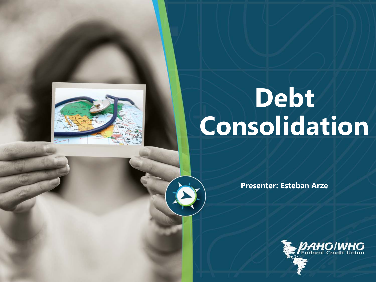

# Debt **Consolidation**

**Presenter: Esteban Arze**

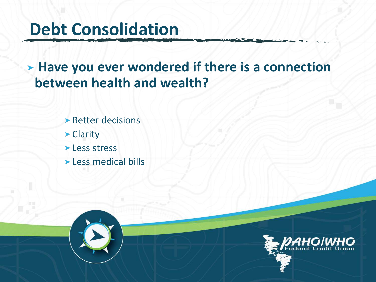### **Debt Consolidation**

**Have you ever wondered if there is a connection between health and wealth?**

- **Better decisions**
- ▶ Clarity
- **Less stress**
- **Less medical bills**

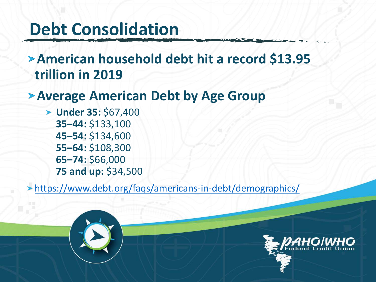### **Debt Consolidation**

**American household debt hit a record \$13.95 trillion in 2019**

### **Average American Debt by Age Group**

**Under 35:** \$67,400 **35–44:** \$133,100 **45–54:** \$134,600 **55–64:** \$108,300 **65–74:** \$66,000 **75 and up:** \$34,500

<https://www.debt.org/faqs/americans-in-debt/demographics/>



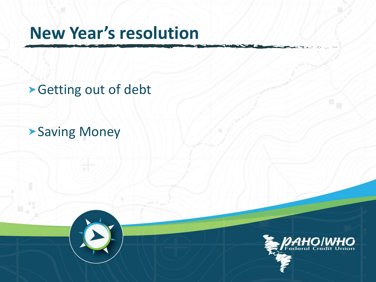### **New Year's resolution**

Getting out of debt

**>Saving Money** 

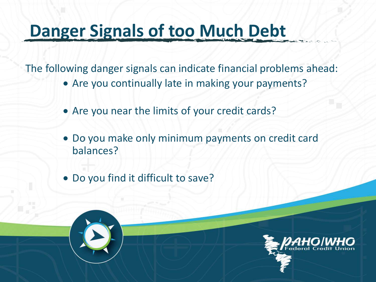## **Danger Signals of too Much Debt**

The following danger signals can indicate financial problems ahead:

- Are you continually late in making your payments?
- Are you near the limits of your credit cards?
- Do you make only minimum payments on credit card balances?
- Do you find it difficult to save?

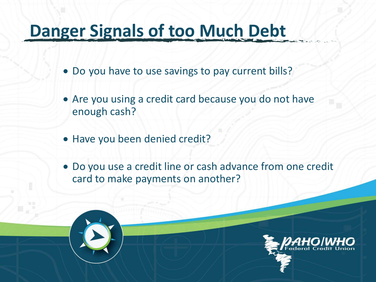### **Danger Signals of too Much Debt**

- Do you have to use savings to pay current bills?
- Are you using a credit card because you do not have enough cash?
- Have you been denied credit?
- Do you use a credit line or cash advance from one credit card to make payments on another?

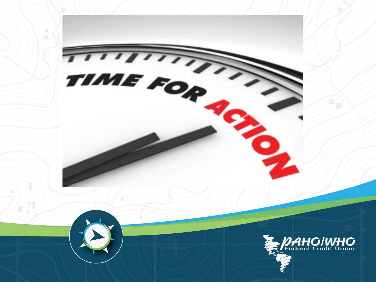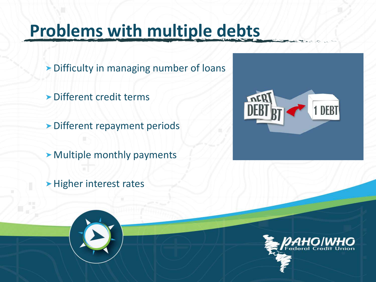## **Problems with multiple debts**

- **Difficulty in managing number of loans**
- Different credit terms
- **Different repayment periods**
- Multiple monthly payments
- **>Higher interest rates**



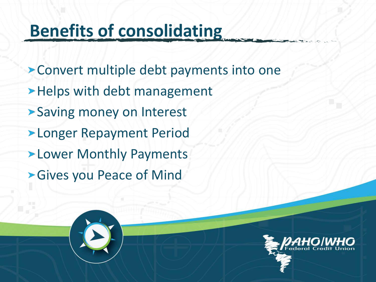## **Benefits of consolidating**

Convert multiple debt payments into one > Helps with debt management **>Saving money on Interest >Longer Repayment Period >Lower Monthly Payments** Gives you Peace of Mind

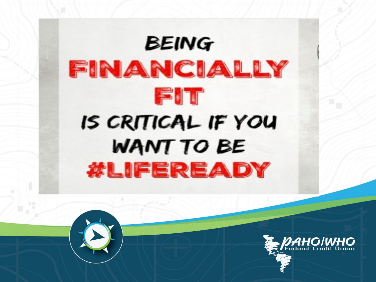

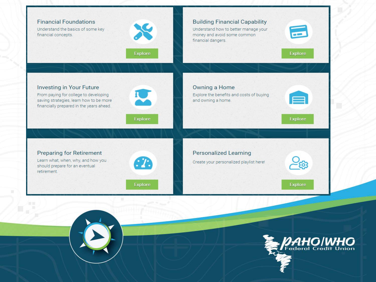

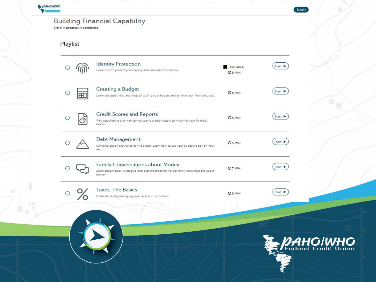| <b>Building Financial Capability</b><br>0 of 6 in progress, 0 completed |    |                                                                                                                                        |                           |                |  |  |  |
|-------------------------------------------------------------------------|----|----------------------------------------------------------------------------------------------------------------------------------------|---------------------------|----------------|--|--|--|
| <b>Playlist</b>                                                         |    |                                                                                                                                        |                           |                |  |  |  |
|                                                                         |    | <b>Identity Protection</b><br>Learn how to protect your identity and personal information.                                             | <b>FEATURED</b><br>@5 MIN | Start <b>P</b> |  |  |  |
|                                                                         | FН | <b>Creating a Budget</b><br>Learn strategies, tips, and tools to stick to your budget and achieve your financial goals.                | <b>O</b> <sub>5</sub> MIN | Start D        |  |  |  |
|                                                                         |    | <b>Credit Scores and Reports</b><br>Why establishing and maintaining strong credit matters so much for your financial<br>health.       | <b>O</b> <sub>5</sub> MIN | Start D        |  |  |  |
|                                                                         |    | Debt Management<br>Climbing out of debt takes having a plan. Learn how to use your budget to pay off your<br>debt                      | <b>O</b> <sub>5</sub> MIN | Start D        |  |  |  |
|                                                                         |    | Family Conversations about Money<br>Learn about topics, strategies, and best practices for having family conversations about<br>money. | @7 MIN                    | Start D        |  |  |  |
|                                                                         |    | <b>Taxes: The Basics</b><br>Understand why managing your taxes is so important.                                                        | <b>O</b> <sub>5</sub> MIN | Start          |  |  |  |

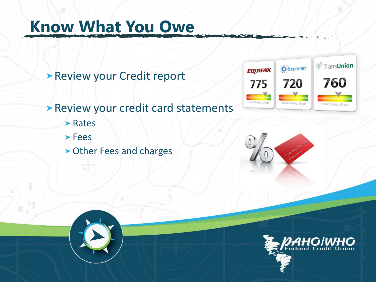### **Know What You Owe**

Review your Credit report

**> Review your credit card statements** 

- **> Rates**
- Fees
- Other Fees and charges





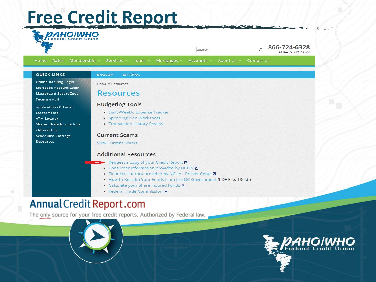### **Free Credit Report**



Search

866-724-6328 ARA#: 254075072

 $\circ$ 

Rates Mortgages **Accounts** About Us Contact Us Home

#### **QUICK LINKS**

**Online Banking Login** Mortgage Account Login **Mastercard SecureCode** 

Secure eMail

**Applications & Forms** 

eStatements

- **ATM Locator**
- **Shared Branch Locations**

eNewsletter

**Scheduled Closings** 

**Resources** 

Home » Resources

**ENGLISH** 

#### **Resources**

#### **Budgeting Tools**

- Daily-Weekly Expense Tracker
- Spending Plan Worksheet

**ESPAÑOL** 

• Transaction History Review

#### **Current Scams**

**View Current Scams** 

#### **Additional Resources**

- Request a copy of your Credit Report M
- Consumer information provided by NCUA  $\blacksquare$
- Financial Literacy provided by NCUA Pocket Cents A
- . How to Reclaim Your Funds from the DC Government (PDF File, 136kb)
- Calculate your Share Insured Funds
- Federal Trade Commission **2**

### Annual Credit Report.com

The only source for your free credit reports. Authorized by Federal law.



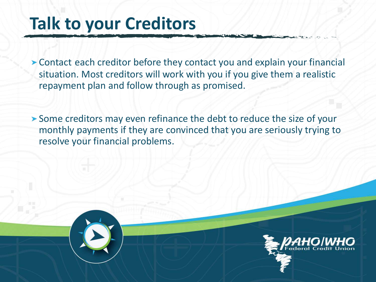### **Talk to your Creditors**

Contact each creditor before they contact you and explain your financial situation. Most creditors will work with you if you give them a realistic repayment plan and follow through as promised.

Some creditors may even refinance the debt to reduce the size of your monthly payments if they are convinced that you are seriously trying to resolve your financial problems.

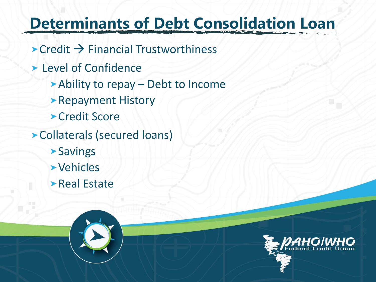### **Determinants of Debt Consolidation Loan**

- $\rightarrow$  Credit  $\rightarrow$  Financial Trustworthiness
- **Level of Confidence** 
	- Ability to repay Debt to Income
	- **> Repayment History**
	- **> Credit Score**
- Collaterals (secured loans)
	- **>Savings**
	- Vehicles
	- **>Real Estate**

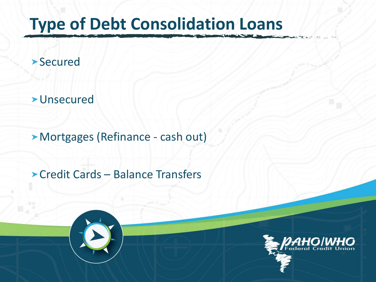## **Type of Debt Consolidation Loans**

### **>Secured**

**>Unsecured** 

Mortgages (Refinance - cash out)

Credit Cards – Balance Transfers



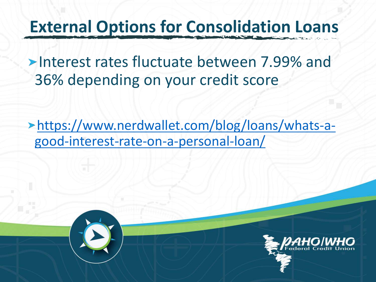### **External Options for Consolidation Loans**

**Interest rates fluctuate between 7.99% and** 36% depending on your credit score

[https://www.nerdwallet.com/blog/loans/whats-a](https://www.nerdwallet.com/blog/loans/whats-a-good-interest-rate-on-a-personal-loan/)good-interest-rate-on-a-personal-loan/

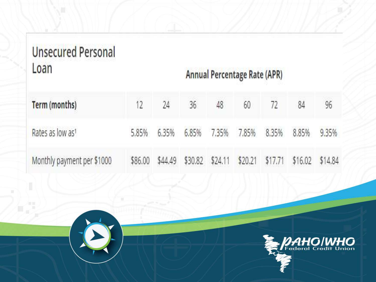### **Unsecured Personal** Loan

### **Annual Percentage Rate (APR)**

| Term (months)                | 12      | 24 | 36 | 48 | 60 |                                                         | 84 | 96    |
|------------------------------|---------|----|----|----|----|---------------------------------------------------------|----|-------|
| Rates as low as <sup>1</sup> | 5.85%   |    |    |    |    | 6.35% 6.85% 7.35% 7.85% 8.35% 8.85%                     |    | 9.35% |
| Monthly payment per \$1000   | \$86.00 |    |    |    |    | \$44.49 \$30.82 \$24.11 \$20.21 \$17.71 \$16.02 \$14.84 |    |       |

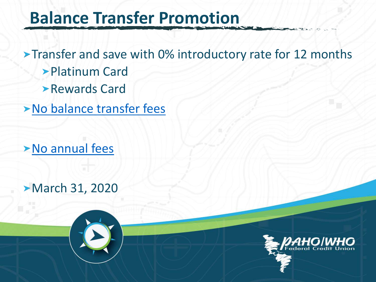### **Balance Transfer Promotion**

**Transfer and save with 0% introductory rate for 12 months** Platinum Card Rewards Card

[No balance transfer fees](https://www.nerdwallet.com/blog/loans/whats-a-good-interest-rate-on-a-personal-loan/)

[No annual fees](https://www.nerdwallet.com/blog/loans/whats-a-good-interest-rate-on-a-personal-loan/)

**March 31, 2020** 

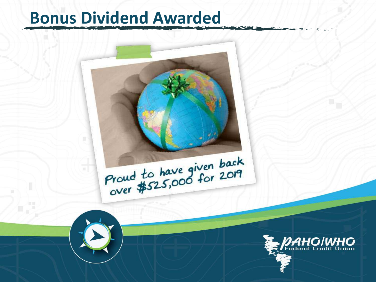### **Bonus Dividend Awarded**



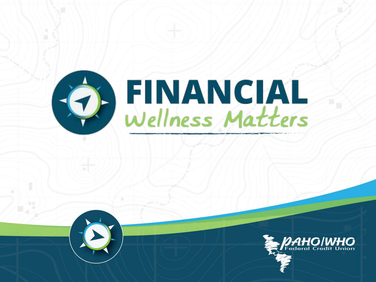